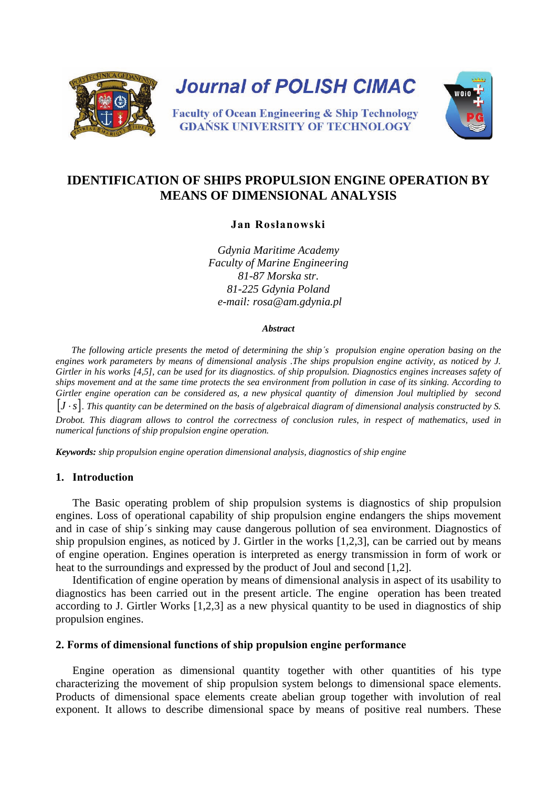

# **IDENTIFICATION OF SHIPS PROPULSION ENGINE OPERATION BY MEANS OF DIMENSIONAL ANALYSIS**

**Jan Rosłanowski**

*Gdynia Maritime Academy Faculty of Marine Engineering 81-87 Morska str. 81-225 Gdynia Poland e-mail: rosa@am.gdynia.pl*

### *Abstract*

*The following article presents the metod of determining the ship΄s propulsion engine operation basing on the engines work parameters by means of dimensional analysis .The ships propulsion engine activity, as noticed by J. Girtler in his works [4,5], can be used for its diagnostics. of ship propulsion. Diagnostics engines increases safety of ships movement and at the same time protects the sea environment from pollution in case of its sinking. According to Girtler engine operation can be considered as, a new physical quantity of dimension Joul multiplied by second*  [ ] ⋅*sJ . This quantity can be determined on the basis of algebraical diagram of dimensional analysis constructed by S. Drobot. This diagram allows to control the correctness of conclusion rules, in respect of mathematics, used in numerical functions of ship propulsion engine operation.* 

*Keywords: ship propulsion engine operation dimensional analysis, diagnostics of ship engine* 

### **1. Introduction**

The Basic operating problem of ship propulsion systems is diagnostics of ship propulsion engines. Loss of operational capability of ship propulsion engine endangers the ships movement and in case of ship΄s sinking may cause dangerous pollution of sea environment. Diagnostics of ship propulsion engines, as noticed by J. Girtler in the works [1,2,3], can be carried out by means of engine operation. Engines operation is interpreted as energy transmission in form of work or heat to the surroundings and expressed by the product of Joul and second [1,2].

Identification of engine operation by means of dimensional analysis in aspect of its usability to diagnostics has been carried out in the present article. The engine operation has been treated according to J. Girtler Works [1,2,3] as a new physical quantity to be used in diagnostics of ship propulsion engines.

### **2. Forms of dimensional functions of ship propulsion engine performance**

Engine operation as dimensional quantity together with other quantities of his type characterizing the movement of ship propulsion system belongs to dimensional space elements. Products of dimensional space elements create abelian group together with involution of real exponent. It allows to describe dimensional space by means of positive real numbers. These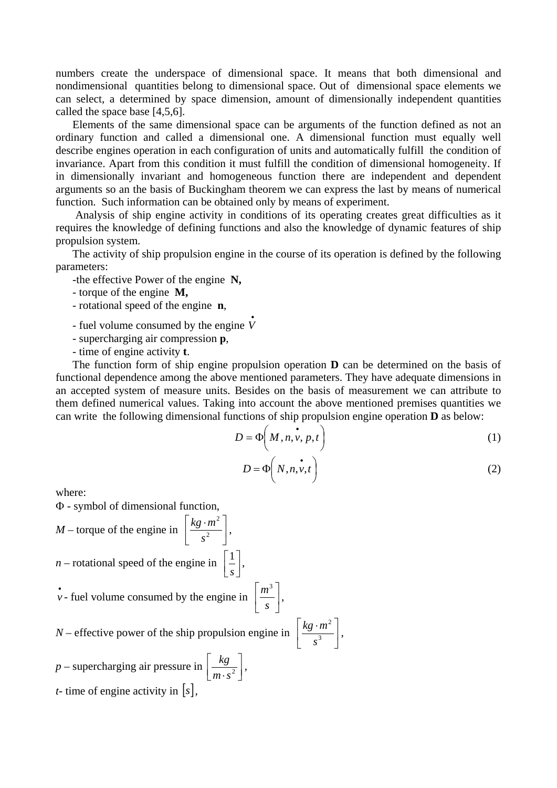numbers create the underspace of dimensional space. It means that both dimensional and nondimensional quantities belong to dimensional space. Out of dimensional space elements we can select, a determined by space dimension, amount of dimensionally independent quantities called the space base [4,5,6].

Elements of the same dimensional space can be arguments of the function defined as not an ordinary function and called a dimensional one. A dimensional function must equally well describe engines operation in each configuration of units and automatically fulfill the condition of invariance. Apart from this condition it must fulfill the condition of dimensional homogeneity. If in dimensionally invariant and homogeneous function there are independent and dependent arguments so an the basis of Buckingham theorem we can express the last by means of numerical function. Such information can be obtained only by means of experiment.

 Analysis of ship engine activity in conditions of its operating creates great difficulties as it requires the knowledge of defining functions and also the knowledge of dynamic features of ship propulsion system.

The activity of ship propulsion engine in the course of its operation is defined by the following parameters:

- -the effective Power of the engine **N,**
- torque of the engine **M,**
- rotational speed of the engine **n**,
- fuel volume consumed by the engine *V*
- supercharging air compression **p**,
- time of engine activity **t**.

The function form of ship engine propulsion operation **D** can be determined on the basis of functional dependence among the above mentioned parameters. They have adequate dimensions in an accepted system of measure units. Besides on the basis of measurement we can attribute to them defined numerical values. Taking into account the above mentioned premises quantities we can write the following dimensional functions of ship propulsion engine operation **D** as below:

$$
D = \Phi\left(M, n, v, p, t\right) \tag{1}
$$

$$
D = \Phi(N, n, v, t) \tag{2}
$$

where:

Φ - symbol of dimensional function,

$$
M
$$
 – torque of the engine in  $\left[\frac{kg \cdot m^2}{s^2}\right]$ ,

*n* – rotational speed of the engine in  $\begin{bmatrix} 1 \\ s \end{bmatrix}$  $\mathsf{L}$ 

$$
v
$$
 - fuel volume consumed by the engine in  $\left[ \frac{m^3}{s} \right]$ 

*N* – effective power of the ship propulsion engine in

*s*  $\frac{1}{-}$ ,

$$
\left[\frac{kg\cdot m^2}{s^3}\right],
$$

 $\overline{\phantom{a}}$ 

,

*p* – supercharging air pressure in  $\left\lfloor \frac{kg}{m \cdot s^2} \right\rfloor$  $\mathsf{I}$  $m \cdot s^2$  $\frac{kg}{2}$ , *t*- time of engine activity in  $|s|$ ,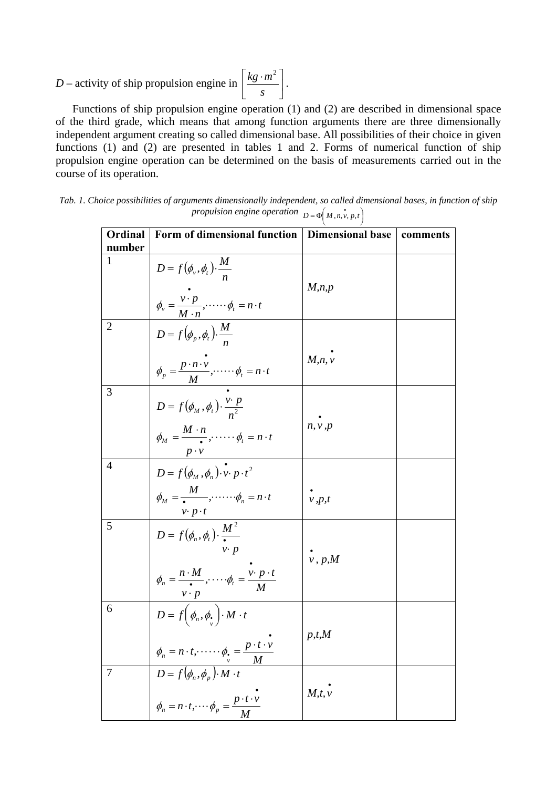#### *D* – activity of ship propulsion engine in  $\frac{\kappa_8 - m}{g}$  $\overline{\phantom{a}}$  $\frac{kg \cdot m^2}{s}$ L  $|kg \cdot$ *s*  $kg \cdot m^2$

Functions of ship propulsion engine operation (1) and (2) are described in dimensional space of the third grade, which means that among function arguments there are three dimensionally independent argument creating so called dimensional base. All possibilities of their choice in given functions (1) and (2) are presented in tables 1 and 2. Forms of numerical function of ship propulsion engine operation can be determined on the basis of measurements carried out in the course of its operation.

.

| Tab. 1. Choice possibilities of arguments dimensionally independent, so called dimensional bases, in function of ship |
|-----------------------------------------------------------------------------------------------------------------------|
| propulsion engine operation $D = \Phi(M, n, v, p, t)$                                                                 |
|                                                                                                                       |

| <b>Ordinal</b><br>number | Form of dimensional function                                                                                                                                                           | <b>Dimensional base</b> | comments |
|--------------------------|----------------------------------------------------------------------------------------------------------------------------------------------------------------------------------------|-------------------------|----------|
| 1                        | $D = f(\phi_v, \phi_t) \cdot \frac{M}{n}$<br>$\phi_v = \frac{v \cdot p}{M \cdot n}, \dots \cdot \phi_t = n \cdot t$                                                                    | M,n,p                   |          |
| $\overline{2}$           | $D = f(\phi_p, \phi_t) \cdot \frac{M}{n}$<br>$\phi_p = \frac{p \cdot n \cdot v}{M}, \dots \cdot \phi_t = n \cdot t$                                                                    | M, n, v                 |          |
| 3                        | $D = f(\phi_M, \phi_t) \cdot \frac{v \cdot p}{n^2}$<br>$\phi_M = \frac{M \cdot n}{\cdot}$ , $\cdots \cdots \phi_t = n \cdot t$                                                         | n, v, p                 |          |
| $\overline{A}$           | $\overrightarrow{D} = f(\phi_M, \phi_n) \cdot \overrightarrow{v} \cdot p \cdot t^2$<br>$\phi_M = \frac{M}{\cdot} \cdot \cdot \cdot \cdot \cdot \cdot \cdot \phi_n = n \cdot t$         | v, p, t                 |          |
| 5                        | $\frac{v \cdot p \cdot t}{D = f(\phi_n, \phi_t) \cdot \frac{M^2}{\cdot}}$<br>$v\cdot p$<br>$\phi_n = \frac{n \cdot M}{\bullet}$ , $\cdots$ , $\phi_t = \frac{v \cdot p \cdot t}{\phi}$ | $\dot{v}$ , p,M         |          |
| 6                        | $D = f\left(\phi_n, \phi, \phi\right) \cdot M \cdot t$                                                                                                                                 | p, t, M                 |          |
| $\overline{7}$           | $\phi_n = n \cdot t, \dots \phi_p = \frac{p \cdot t \cdot v}{M}$<br>$D = f(\phi_n, \phi_p) \cdot M \cdot t$<br>$\phi_n = n \cdot t, \dots \phi_p = \frac{p \cdot t \cdot v}{M}$        | M, t, v                 |          |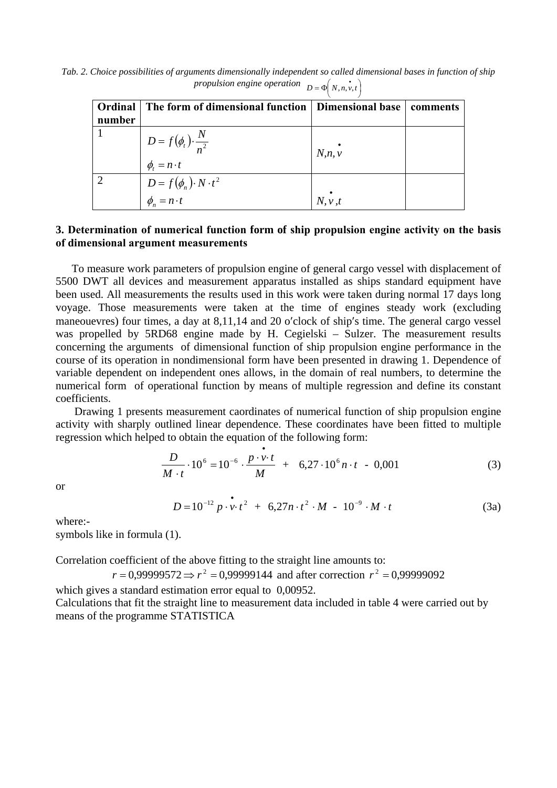*Tab. 2. Choice possibilities of arguments dimensionally independent so called dimensional bases in function of ship*   $proputation \text{ engine operation} \quad D = \Phi(N, n, v, t)$ 

| Ordinal<br>number | The form of dimensional function   Dimensional base         |         | comments |  |  |
|-------------------|-------------------------------------------------------------|---------|----------|--|--|
|                   | $D = f(\phi_t) \cdot \frac{N}{n^2}$<br>$\phi_t = n \cdot t$ | N, n, v |          |  |  |
|                   | $D = f(\phi_n) \cdot N \cdot t^2$<br>$\phi_n = n \cdot t$   | N, v, t |          |  |  |

## **3. Determination of numerical function form of ship propulsion engine activity on the basis of dimensional argument measurements**

To measure work parameters of propulsion engine of general cargo vessel with displacement of 5500 DWT all devices and measurement apparatus installed as ships standard equipment have been used. All measurements the results used in this work were taken during normal 17 days long voyage. Those measurements were taken at the time of engines steady work (excluding maneouevres) four times, a day at 8,11,14 and 20 o′clock of ship′s time. The general cargo vessel was propelled by 5RD68 engine made by H. Cegielski – Sulzer. The measurement results concerning the arguments of dimensional function of ship propulsion engine performance in the course of its operation in nondimensional form have been presented in drawing 1. Dependence of variable dependent on independent ones allows, in the domain of real numbers, to determine the numerical form of operational function by means of multiple regression and define its constant coefficients.

Drawing 1 presents measurement caordinates of numerical function of ship propulsion engine activity with sharply outlined linear dependence. These coordinates have been fitted to multiple regression which helped to obtain the equation of the following form:

•

$$
\frac{D}{M \cdot t} \cdot 10^6 = 10^{-6} \cdot \frac{p \cdot v \cdot t}{M} + 6,27 \cdot 10^6 n \cdot t - 0,001 \tag{3}
$$

or

$$
D = 10^{-12} p \cdot v \cdot t^2 + 6{,}27n \cdot t^2 \cdot M - 10^{-9} \cdot M \cdot t
$$
 (3a)

where:-

symbols like in formula (1).

Correlation coefficient of the above fitting to the straight line amounts to:

 $r = 0.99999572 \Rightarrow r^2 = 0.99999144$  and after correction  $r^2 = 0.99999092$ 

which gives a standard estimation error equal to 0,00952. Calculations that fit the straight line to measurement data included in table 4 were carried out by means of the programme STATISTICA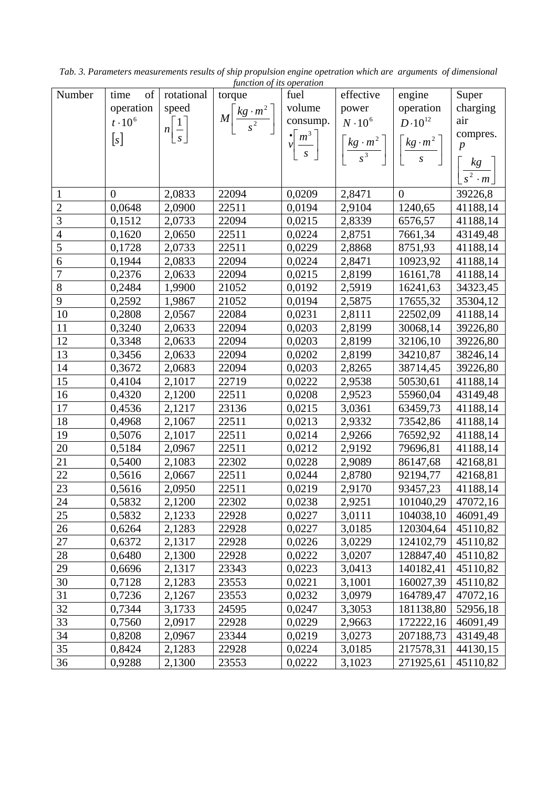|                | of             | rotational                  | junction oj us operation                 |        |                                                                                                                                                                                                                                                    |                |                                       |
|----------------|----------------|-----------------------------|------------------------------------------|--------|----------------------------------------------------------------------------------------------------------------------------------------------------------------------------------------------------------------------------------------------------|----------------|---------------------------------------|
| Number         | time           |                             | torque                                   | fuel   | effective                                                                                                                                                                                                                                          | engine         | Super                                 |
|                | operation      | speed                       |                                          | volume | power                                                                                                                                                                                                                                              | operation      | charging                              |
|                | $t\cdot10^6$   | $n\left[\frac{1}{s}\right]$ | $M\left[\frac{kg \cdot m^2}{s^2}\right]$ |        |                                                                                                                                                                                                                                                    |                | air                                   |
|                |                |                             |                                          |        |                                                                                                                                                                                                                                                    |                | compres.<br>$\boldsymbol{p}$          |
|                |                |                             |                                          |        | $\begin{bmatrix}\n\text{consump.} \\ \mathbf{v} \left[\frac{m^3}{s}\right] & \frac{N \cdot 10^6}{s^3} \\ \frac{k g \cdot m^2}{s^3} & \frac{k g \cdot m^2}{s}\n\end{bmatrix} \begin{bmatrix}\nD \cdot 10 \\ \frac{k g \cdot m^2}{s}\n\end{bmatrix}$ |                |                                       |
|                |                |                             |                                          |        |                                                                                                                                                                                                                                                    |                |                                       |
|                |                |                             |                                          |        |                                                                                                                                                                                                                                                    |                | $\left[\frac{kg}{s^2 \cdot m}\right]$ |
| $\mathbf{1}$   | $\overline{0}$ | 2,0833                      | 22094                                    | 0,0209 | 2,8471                                                                                                                                                                                                                                             | $\overline{0}$ | 39226,8                               |
| $\sqrt{2}$     | 0,0648         | 2,0900                      | 22511                                    | 0,0194 | 2,9104                                                                                                                                                                                                                                             | 1240,65        | 41188,14                              |
| $\overline{3}$ | 0,1512         | 2,0733                      | 22094                                    | 0,0215 | 2,8339                                                                                                                                                                                                                                             | 6576,57        | 41188,14                              |
| $\overline{4}$ | 0,1620         | 2,0650                      | 22511                                    | 0,0224 | 2,8751                                                                                                                                                                                                                                             | 7661,34        | 43149,48                              |
| $\overline{5}$ | 0,1728         | 2,0733                      | 22511                                    | 0,0229 | 2,8868                                                                                                                                                                                                                                             | 8751,93        | 41188,14                              |
| 6              | 0,1944         | 2,0833                      | 22094                                    | 0,0224 | 2,8471                                                                                                                                                                                                                                             | 10923,92       | 41188,14                              |
| $\overline{7}$ | 0,2376         | 2,0633                      | 22094                                    | 0,0215 | 2,8199                                                                                                                                                                                                                                             | 16161,78       | 41188,14                              |
| $8\,$          | 0,2484         | 1,9900                      | 21052                                    | 0,0192 | 2,5919                                                                                                                                                                                                                                             | 16241,63       | 34323,45                              |
| 9              | 0,2592         | 1,9867                      | 21052                                    | 0,0194 | 2,5875                                                                                                                                                                                                                                             | 17655,32       | 35304,12                              |
| 10             | 0,2808         | 2,0567                      | 22084                                    | 0,0231 | 2,8111                                                                                                                                                                                                                                             | 22502,09       | 41188,14                              |
| 11             | 0,3240         | 2,0633                      | 22094                                    | 0,0203 | 2,8199                                                                                                                                                                                                                                             | 30068,14       | 39226,80                              |
| 12             | 0,3348         | 2,0633                      | 22094                                    | 0,0203 | 2,8199                                                                                                                                                                                                                                             | 32106,10       | 39226,80                              |
| 13             | 0,3456         | 2,0633                      | 22094                                    | 0,0202 | 2,8199                                                                                                                                                                                                                                             | 34210,87       | 38246,14                              |
| 14             | 0,3672         | 2,0683                      | 22094                                    | 0,0203 | 2,8265                                                                                                                                                                                                                                             | 38714,45       | 39226,80                              |
| 15             | 0,4104         | 2,1017                      | 22719                                    | 0,0222 | 2,9538                                                                                                                                                                                                                                             | 50530,61       | 41188,14                              |
| 16             | 0,4320         | 2,1200                      | 22511                                    | 0,0208 | 2,9523                                                                                                                                                                                                                                             | 55960,04       | 43149,48                              |
| 17             | 0,4536         | 2,1217                      | 23136                                    | 0,0215 | 3,0361                                                                                                                                                                                                                                             | 63459,73       | 41188,14                              |
| 18             | 0,4968         | 2,1067                      | 22511                                    | 0,0213 | 2,9332                                                                                                                                                                                                                                             | 73542,86       | 41188,14                              |
| 19             | 0,5076         | 2,1017                      | 22511                                    | 0,0214 | 2,9266                                                                                                                                                                                                                                             | 76592,92       | 41188,14                              |
| 20             | 0,5184         | 2,0967                      | 22511                                    | 0,0212 | 2,9192                                                                                                                                                                                                                                             | 79696,81       | 41188,14                              |
| 21             | 0,5400         | 2,1083                      | 22302                                    | 0,0228 | 2,9089                                                                                                                                                                                                                                             | 86147,68       | 42168,81                              |
| 22             | 0,5616         | 2,0667                      | 22511                                    | 0,0244 | 2,8780                                                                                                                                                                                                                                             | 92194,77       | 42168,81                              |
| 23             | 0,5616         | 2,0950                      | 22511                                    | 0,0219 | 2,9170                                                                                                                                                                                                                                             | 93457,23       | 41188,14                              |
| 24             | 0,5832         | 2,1200                      | 22302                                    | 0,0238 | 2,9251                                                                                                                                                                                                                                             | 101040,29      | 47072,16                              |
| 25             | 0,5832         | 2,1233                      | 22928                                    | 0,0227 | 3,0111                                                                                                                                                                                                                                             | 104038,10      | 46091,49                              |
| 26             | 0,6264         | 2,1283                      | 22928                                    | 0,0227 | 3,0185                                                                                                                                                                                                                                             | 120304,64      | 45110,82                              |
| 27             | 0,6372         | 2,1317                      | 22928                                    | 0,0226 | 3,0229                                                                                                                                                                                                                                             | 124102,79      | 45110,82                              |
| 28             | 0,6480         | 2,1300                      | 22928                                    | 0,0222 | 3,0207                                                                                                                                                                                                                                             | 128847,40      | 45110,82                              |
| 29             | 0,6696         | 2,1317                      | 23343                                    | 0,0223 | 3,0413                                                                                                                                                                                                                                             | 140182,41      | 45110,82                              |
| 30             | 0,7128         | 2,1283                      | 23553                                    | 0,0221 | 3,1001                                                                                                                                                                                                                                             | 160027,39      | 45110,82                              |
| 31             | 0,7236         | 2,1267                      | 23553                                    | 0,0232 | 3,0979                                                                                                                                                                                                                                             | 164789,47      | 47072,16                              |
| 32             | 0,7344         | 3,1733                      | 24595                                    | 0,0247 | 3,3053                                                                                                                                                                                                                                             | 181138,80      | 52956,18                              |
| 33             | 0,7560         | 2,0917                      | 22928                                    | 0,0229 | 2,9663                                                                                                                                                                                                                                             | 172222,16      | 46091,49                              |
| 34             | 0,8208         | 2,0967                      | 23344                                    | 0,0219 | 3,0273                                                                                                                                                                                                                                             | 207188,73      | 43149,48                              |
| 35             | 0,8424         | 2,1283                      | 22928                                    | 0,0224 | 3,0185                                                                                                                                                                                                                                             | 217578,31      | 44130,15                              |
| 36             | 0,9288         | 2,1300                      | 23553                                    | 0,0222 | 3,1023                                                                                                                                                                                                                                             | 271925,61      | 45110,82                              |

*Tab. 3. Parameters measurements results of ship propulsion engine opetration which are arguments of dimensional function of its operation*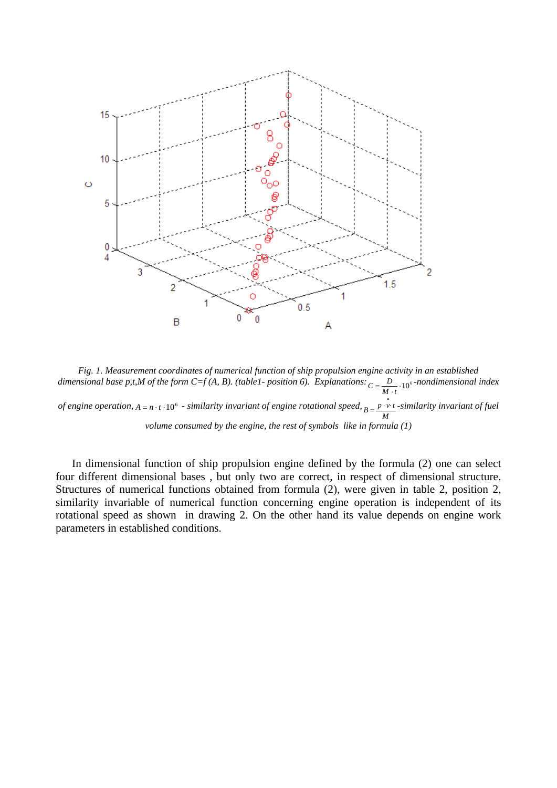

*Fig. 1. Measurement coordinates of numerical function of ship propulsion engine activity in an established dimensional base p,t,M of the form C=f* (A, B). (table1- position 6). Explanations:  $C = \frac{D}{M \cdot t} \cdot 10^{6}$ -nondimensional index *of engine operation,*  $A = n ⋅ t ⋅ 10<sup>6</sup>$  - similarity invariant of engine rotational speed,  $B = \frac{p \cdot v \cdot t}{M}$ -similarity invariant of fuel *volume consumed by the engine, the rest of symbols like in formula (1)*

In dimensional function of ship propulsion engine defined by the formula (2) one can select four different dimensional bases , but only two are correct, in respect of dimensional structure. Structures of numerical functions obtained from formula (2), were given in table 2, position 2, similarity invariable of numerical function concerning engine operation is independent of its rotational speed as shown in drawing 2. On the other hand its value depends on engine work parameters in established conditions.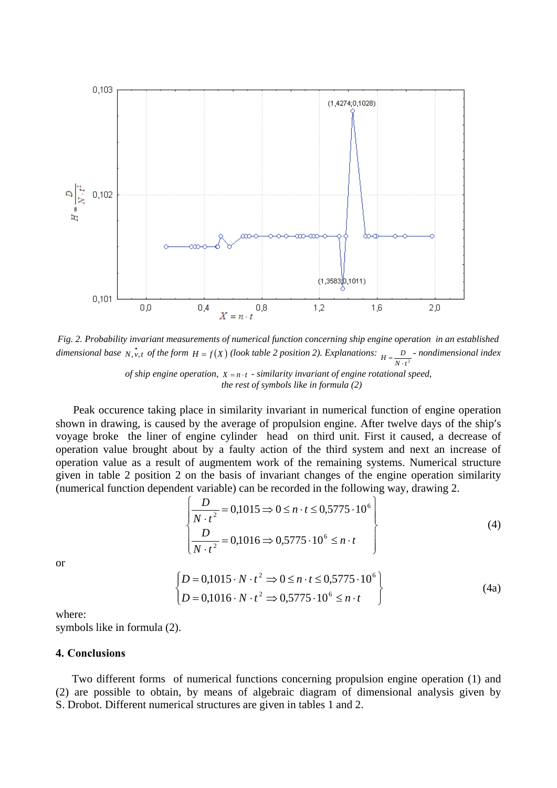

*Fig. 2. Probability invariant measurements of numerical function concerning ship engine operation in an established dimensional base*  $N, v, t$  *of the form*  $H = f(X)$  *(look table 2 position 2). Explanations:*  $H = \frac{D}{N \cdot t^2}$  *- nondimensional index of ship engine operation,*  $X = n \cdot t$  - similarity invariant of engine rotational speed, *the rest of symbols like in formula (2)*

Peak occurence taking place in similarity invariant in numerical function of engine operation shown in drawing, is caused by the average of propulsion engine. After twelve days of the ship′s voyage broke the liner of engine cylinder head on third unit. First it caused, a decrease of operation value brought about by a faulty action of the third system and next an increase of operation value as a result of augmentem work of the remaining systems. Numerical structure given in table 2 position 2 on the basis of invariant changes of the engine operation similarity (numerical function dependent variable) can be recorded in the following way, drawing 2.

$$
\begin{cases}\n\frac{D}{N \cdot t^2} = 0,1015 \Rightarrow 0 \le n \cdot t \le 0,5775 \cdot 10^6 \\
\frac{D}{N \cdot t^2} = 0,1016 \Rightarrow 0,5775 \cdot 10^6 \le n \cdot t\n\end{cases}
$$
\n(4)

or

$$
\begin{cases}\nD = 0,1015 \cdot N \cdot t^2 \Rightarrow 0 \le n \cdot t \le 0,5775 \cdot 10^6 \\
D = 0,1016 \cdot N \cdot t^2 \Rightarrow 0,5775 \cdot 10^6 \le n \cdot t\n\end{cases}
$$
\n(4a)

where:

symbols like in formula (2).

### **4. Conclusions**

Two different forms of numerical functions concerning propulsion engine operation (1) and (2) are possible to obtain, by means of algebraic diagram of dimensional analysis given by S. Drobot. Different numerical structures are given in tables 1 and 2.